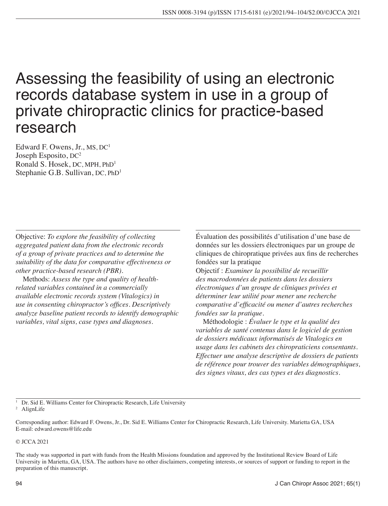# Assessing the feasibility of using an electronic records database system in use in a group of private chiropractic clinics for practice-based research

Edward F. Owens, Jr., MS,  $DC<sup>1</sup>$ Joseph Esposito, DC2 Ronald S. Hosek, DC, MPH, PhD<sup>1</sup> Stephanie G.B. Sullivan, DC, PhD<sup>1</sup>

Objective: *To explore the feasibility of collecting aggregated patient data from the electronic records of a group of private practices and to determine the suitability of the data for comparative effectiveness or other practice-based research (PBR).*

Methods: *Assess the type and quality of healthrelated variables contained in a commercially available electronic records system (Vitalogics) in use in consenting chiropractor's offices. Descriptively analyze baseline patient records to identify demographic variables, vital signs, case types and diagnoses.*

Évaluation des possibilités d'utilisation d'une base de données sur les dossiers électroniques par un groupe de cliniques de chiropratique privées aux fins de recherches fondées sur la pratique

Objectif : *Examiner la possibilité de recueillir des macrodonnées de patients dans les dossiers électroniques d'un groupe de cliniques privées et déterminer leur utilité pour mener une recherche comparative d'efficacité ou mener d'autres recherches fondées sur la pratique.*

Méthodologie : *Évaluer le type et la qualité des variables de santé contenus dans le logiciel de gestion de dossiers médicaux informatisés de Vitalogics en usage dans les cabinets des chiropraticiens consentants. Effectuer une analyse descriptive de dossiers de patients de référence pour trouver des variables démographiques, des signes vitaux, des cas types et des diagnostics.*

<sup>1</sup> Dr. Sid E. Williams Center for Chiropractic Research, Life University 2 AlignLife

Corresponding author: Edward F. Owens, Jr., Dr. Sid E. Williams Center for Chiropractic Research, Life University. Marietta GA, USA E-mail: edward.owens@life.edu

#### © JCCA 2021

The study was supported in part with funds from the Health Missions foundation and approved by the Institutional Review Board of Life University in Marietta, GA, USA. The authors have no other disclaimers, competing interests, or sources of support or funding to report in the preparation of this manuscript.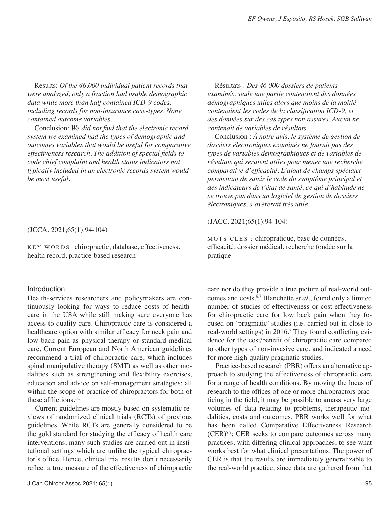Results: *Of the 46,000 individual patient records that were analyzed, only a fraction had usable demographic data while more than half contained ICD-9 codes, including records for non-insurance case-types. None contained outcome variables.*

Conclusion: *We did not find that the electronic record system we examined had the types of demographic and outcomes variables that would be useful for comparative effectiveness research. The addition of special fields to code chief complaint and health status indicators not typically included in an electronic records system would be most useful.*

# (JCCA. 2021;65(1):94-104)

KEY WORDS: chiropractic, database, effectiveness, health record, practice-based research

## **Introduction**

Health-services researchers and policymakers are continuously looking for ways to reduce costs of healthcare in the USA while still making sure everyone has access to quality care. Chiropractic care is considered a healthcare option with similar efficacy for neck pain and low back pain as physical therapy or standard medical care. Current European and North American guidelines recommend a trial of chiropractic care, which includes spinal manipulative therapy (SMT) as well as other modalities such as strengthening and flexibility exercises, education and advice on self-management strategies; all within the scope of practice of chiropractors for both of these afflictions.1-5

Current guidelines are mostly based on systematic reviews of randomized clinical trials (RCTs) of previous guidelines. While RCTs are generally considered to be the gold standard for studying the efficacy of health care interventions, many such studies are carried out in institutional settings which are unlike the typical chiropractor's office. Hence, clinical trial results don't necessarily reflect a true measure of the effectiveness of chiropractic

Résultats : *Des 46 000 dossiers de patients examinés, seule une partie contenaient des données démographiques utiles alors que moins de la moitié contenaient les codes de la classification ICD-9, et des données sur des cas types non assurés. Aucun ne contenait de variables de résultats.*

Conclusion : *À notre avis, le système de gestion de dossiers électroniques examinés ne fournit pas des types de variables démographiques et de variables de résultats qui seraient utiles pour mener une recherche comparative d'efficacité. L'ajout de champs spéciaux permettant de saisir le code du symptôme principal et des indicateurs de l'état de santé, ce qui d'habitude ne se trouve pas dans un logiciel de gestion de dossiers électroniques, s'avérerait très utile.*

#### (JACC. 2021;65(1):94-104)

MOTS CLÉS : chiropratique, base de données, efficacité, dossier médical, recherche fondée sur la pratique

care nor do they provide a true picture of real-world outcomes and costs.6,7 Blanchette *et al*., found only a limited number of studies of effectiveness or cost-effectiveness for chiropractic care for low back pain when they focused on 'pragmatic' studies (i.e. carried out in close to real-world settings) in 2016.<sup>7</sup> They found conflicting evidence for the cost/benefit of chiropractic care compared to other types of non-invasive care, and indicated a need for more high-quality pragmatic studies.

Practice-based research (PBR) offers an alternative approach to studying the effectiveness of chiropractic care for a range of health conditions. By moving the locus of research to the offices of one or more chiropractors practicing in the field, it may be possible to amass very large volumes of data relating to problems, therapeutic modalities, costs and outcomes. PBR works well for what has been called Comparative Effectiveness Research  $(CER)^{8,9}$ ; CER seeks to compare outcomes across many practices, with differing clinical approaches, to see what works best for what clinical presentations. The power of CER is that the results are immediately generalizable to the real-world practice, since data are gathered from that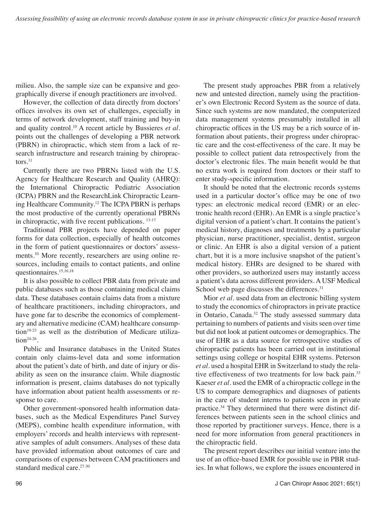milieu. Also, the sample size can be expansive and geographically diverse if enough practitioners are involved.

However, the collection of data directly from doctors' offices involves its own set of challenges, especially in terms of network development, staff training and buy-in and quality control.10 A recent article by Bussieres *et al*. points out the challenges of developing a PBR network (PBRN) in chiropractic, which stem from a lack of research infrastructure and research training by chiropractors. $^{11}$ 

Currently there are two PBRNs listed with the U.S. Agency for Healthcare Research and Quality (AHRQ): the International Chiropractic Pediatric Association (ICPA) PBRN and the ResearchLink Chiropractic Learning Healthcare Community.12 The ICPA PBRN is perhaps the most productive of the currently operational PBRNs in chiropractic, with five recent publications. 13-17

Traditional PBR projects have depended on paper forms for data collection, especially of health outcomes in the form of patient questionnaires or doctors' assessments.10 More recently, researchers are using online resources, including emails to contact patients, and online questionnaires.15,16,18

It is also possible to collect PBR data from private and public databases such as those containing medical claims data. These databases contain claims data from a mixture of healthcare practitioners, including chiropractors, and have gone far to describe the economics of complementary and alternative medicine (CAM) healthcare consumption<sup>19-23</sup> as well as the distribution of Medicare utiliza $tion<sup>24-26</sup>$ .

Public and Insurance databases in the United States contain only claims-level data and some information about the patient's date of birth, and date of injury or disability as seen on the insurance claim. While diagnostic information is present, claims databases do not typically have information about patient health assessments or response to care.

Other government-sponsored health information databases, such as the Medical Expenditures Panel Survey (MEPS), combine health expenditure information, with employers' records and health interviews with representative samples of adult consumers. Analyses of these data have provided information about outcomes of care and comparisons of expenses between CAM practitioners and standard medical care.<sup>27-30</sup>

The present study approaches PBR from a relatively new and untested direction, namely using the practitioner's own Electronic Record System as the source of data. Since such systems are now mandated, the computerized data management systems presumably installed in all chiropractic offices in the US may be a rich source of information about patients, their progress under chiropractic care and the cost-effectiveness of the care. It may be possible to collect patient data retrospectively from the doctor's electronic files. The main benefit would be that no extra work is required from doctors or their staff to enter study-specific information.

It should be noted that the electronic records systems used in a particular doctor's office may be one of two types: an electronic medical record (EMR) or an electronic health record (EHR). An EMR is a single practice's digital version of a patient's chart. It contains the patient's medical history, diagnoses and treatments by a particular physician, nurse practitioner, specialist, dentist, surgeon or clinic. An EHR is also a digital version of a patient chart, but it is a more inclusive snapshot of the patient's medical history. EHRs are designed to be shared with other providers, so authorized users may instantly access a patient's data across different providers. A USF Medical School web page discusses the differences.<sup>31</sup>

Mior *et al.* used data from an electronic billing system to study the economics of chiropractors in private practice in Ontario, Canada.<sup>32</sup> The study assessed summary data pertaining to numbers of patients and visits seen over time but did not look at patient outcomes or demographics. The use of EHR as a data source for retrospective studies of chiropractic patients has been carried out in institutional settings using college or hospital EHR systems. Peterson *et al.* used a hospital EHR in Switzerland to study the relative effectiveness of two treatments for low back pain.<sup>33</sup> Kaeser *et al*. used the EMR of a chiropractic college in the US to compare demographics and diagnoses of patients in the care of student interns to patients seen in private practice.34 They determined that there were distinct differences between patients seen in the school clinics and those reported by practitioner surveys. Hence, there is a need for more information from general practitioners in the chiropractic field.

The present report describes our initial venture into the use of an office-based EMR for possible use in PBR studies. In what follows, we explore the issues encountered in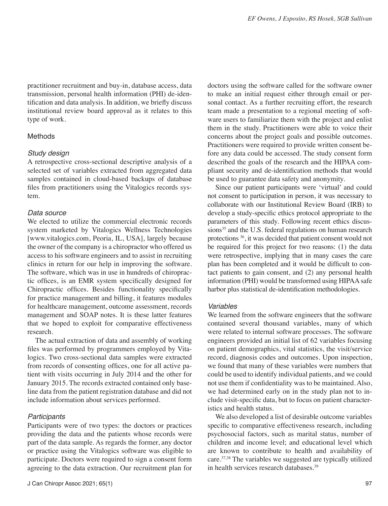practitioner recruitment and buy-in, database access, data transmission, personal health information (PHI) de-identification and data analysis. In addition, we briefly discuss institutional review board approval as it relates to this type of work.

# Methods

## *Study design*

A retrospective cross-sectional descriptive analysis of a selected set of variables extracted from aggregated data samples contained in cloud-based backups of database files from practitioners using the Vitalogics records system.

# *Data source*

We elected to utilize the commercial electronic records system marketed by Vitalogics Wellness Technologies [www.vitalogics.com, Peoria, IL, USA], largely because the owner of the company is a chiropractor who offered us access to his software engineers and to assist in recruiting clinics in return for our help in improving the software. The software, which was in use in hundreds of chiropractic offices, is an EMR system specifically designed for Chiropractic offices. Besides functionality specifically for practice management and billing, it features modules for healthcare management, outcome assessment, records management and SOAP notes. It is these latter features that we hoped to exploit for comparative effectiveness research.

The actual extraction of data and assembly of working files was performed by programmers employed by Vitalogics. Two cross-sectional data samples were extracted from records of consenting offices, one for all active patient with visits occurring in July 2014 and the other for January 2015. The records extracted contained only baseline data from the patient registration database and did not include information about services performed.

# *Participants*

Participants were of two types: the doctors or practices providing the data and the patients whose records were part of the data sample. As regards the former, any doctor or practice using the Vitalogics software was eligible to participate. Doctors were required to sign a consent form agreeing to the data extraction. Our recruitment plan for doctors using the software called for the software owner to make an initial request either through email or personal contact. As a further recruiting effort, the research team made a presentation to a regional meeting of software users to familiarize them with the project and enlist them in the study. Practitioners were able to voice their concerns about the project goals and possible outcomes. Practitioners were required to provide written consent before any data could be accessed. The study consent form described the goals of the research and the HIPAA compliant security and de-identification methods that would be used to guarantee data safety and anonymity.

Since our patient participants were 'virtual' and could not consent to participation in person, it was necessary to collaborate with our Institutional Review Board (IRB) to develop a study-specific ethics protocol appropriate to the parameters of this study. Following recent ethics discussions<sup>35</sup> and the U.S. federal regulations on human research protections 36, it was decided that patient consent would not be required for this project for two reasons: (1) the data were retrospective, implying that in many cases the care plan has been completed and it would be difficult to contact patients to gain consent, and (2) any personal health information (PHI) would be transformed using HIPAA safe harbor plus statistical de-identification methodologies.

## *Variables*

We learned from the software engineers that the software contained several thousand variables, many of which were related to internal software processes. The software engineers provided an initial list of 62 variables focusing on patient demographics, vital statistics, the visit/service record, diagnosis codes and outcomes. Upon inspection, we found that many of these variables were numbers that could be used to identify individual patients, and we could not use them if confidentiality was to be maintained. Also, we had determined early on in the study plan not to include visit-specific data, but to focus on patient characteristics and health status.

We also developed a list of desirable outcome variables specific to comparative effectiveness research, including psychosocial factors, such as marital status, number of children and income level; and educational level which are known to contribute to health and availability of care.37,38 The variables we suggested are typically utilized in health services research databases.39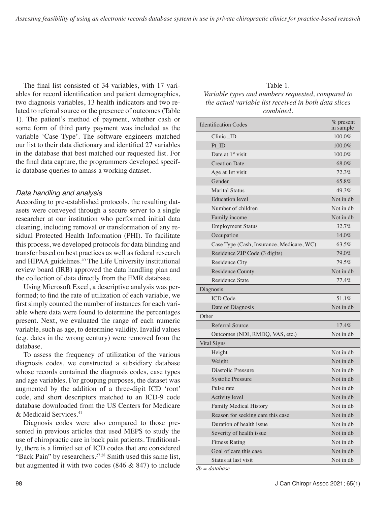The final list consisted of 34 variables, with 17 variables for record identification and patient demographics, two diagnosis variables, 13 health indicators and two related to referral source or the presence of outcomes (Table 1). The patient's method of payment, whether cash or some form of third party payment was included as the variable 'Case Type'. The software engineers matched our list to their data dictionary and identified 27 variables in the database that best matched our requested list. For the final data capture, the programmers developed specific database queries to amass a working dataset.

## *Data handling and analysis*

According to pre-established protocols, the resulting datasets were conveyed through a secure server to a single researcher at our institution who performed initial data cleaning, including removal or transformation of any residual Protected Health Information (PHI). To facilitate this process, we developed protocols for data blinding and transfer based on best practices as well as federal research and HIPAA guidelines.<sup>40</sup> The Life University institutional review board (IRB) approved the data handling plan and the collection of data directly from the EMR database.

Using Microsoft Excel, a descriptive analysis was performed; to find the rate of utilization of each variable, we first simply counted the number of instances for each variable where data were found to determine the percentages present. Next, we evaluated the range of each numeric variable, such as age, to determine validity. Invalid values (e.g. dates in the wrong century) were removed from the database.

To assess the frequency of utilization of the various diagnosis codes, we constructed a subsidiary database whose records contained the diagnosis codes, case types and age variables. For grouping purposes, the dataset was augmented by the addition of a three-digit ICD 'root' code, and short descriptors matched to an ICD-9 code database downloaded from the US Centers for Medicare & Medicaid Services.41

Diagnosis codes were also compared to those presented in previous articles that used MEPS to study the use of chiropractic care in back pain patients. Traditionally, there is a limited set of ICD codes that are considered "Back Pain" by researchers.<sup>27,28</sup> Smith used this same list, but augmented it with two codes (846 & 847) to include

## Table 1. *Variable types and numbers requested, compared to the actual variable list received in both data slices combined.*

| <b>Identification Codes</b>               | $%$ present<br>in sample |  |  |  |  |  |  |  |  |
|-------------------------------------------|--------------------------|--|--|--|--|--|--|--|--|
| $Clinic$ ID                               | 100.0%                   |  |  |  |  |  |  |  |  |
| Pt ID                                     | 100.0%                   |  |  |  |  |  |  |  |  |
| Date at 1 <sup>st</sup> visit             | 100.0%                   |  |  |  |  |  |  |  |  |
| <b>Creation Date</b>                      | 68.0%                    |  |  |  |  |  |  |  |  |
| Age at 1st visit                          | 72.3%                    |  |  |  |  |  |  |  |  |
| Gender                                    | 65.8%                    |  |  |  |  |  |  |  |  |
| <b>Marital Status</b>                     | 49.3%                    |  |  |  |  |  |  |  |  |
| <b>Education</b> level                    | Not in db                |  |  |  |  |  |  |  |  |
| Number of children                        | Not in db                |  |  |  |  |  |  |  |  |
| Family income                             | Not in db                |  |  |  |  |  |  |  |  |
| <b>Employment Status</b>                  | 32.7%                    |  |  |  |  |  |  |  |  |
| Occupation                                | 14.0%                    |  |  |  |  |  |  |  |  |
| Case Type (Cash, Insurance, Medicare, WC) | 63.5%                    |  |  |  |  |  |  |  |  |
| Residence ZIP Code (3 digits)             | 79.0%                    |  |  |  |  |  |  |  |  |
| <b>Residence City</b>                     | 79.5%                    |  |  |  |  |  |  |  |  |
| <b>Residence County</b>                   | Not in db                |  |  |  |  |  |  |  |  |
| <b>Residence State</b>                    | 77.4%                    |  |  |  |  |  |  |  |  |
| Diagnosis                                 |                          |  |  |  |  |  |  |  |  |
| <b>ICD</b> Code                           | 51.1%                    |  |  |  |  |  |  |  |  |
| Date of Diagnosis                         | Not in db                |  |  |  |  |  |  |  |  |
| Other                                     |                          |  |  |  |  |  |  |  |  |
| <b>Referral Source</b>                    | $17.4\%$                 |  |  |  |  |  |  |  |  |
| Outcomes (NDI, RMDQ, VAS, etc.)           | Not in db                |  |  |  |  |  |  |  |  |
| Vital Signs                               |                          |  |  |  |  |  |  |  |  |
| Height                                    | Not in db                |  |  |  |  |  |  |  |  |
| Weight                                    | Not in db                |  |  |  |  |  |  |  |  |
| Diastolic Pressure                        | Not in dh                |  |  |  |  |  |  |  |  |
| <b>Systolic Pressure</b>                  | Not in db                |  |  |  |  |  |  |  |  |
| Pulse rate                                | Not in db                |  |  |  |  |  |  |  |  |
| Activity level                            | Not in db                |  |  |  |  |  |  |  |  |
| Family Medical History                    | Not in db                |  |  |  |  |  |  |  |  |
| Reason for seeking care this case         | Not in db                |  |  |  |  |  |  |  |  |
| Duration of health issue                  | Not in dh                |  |  |  |  |  |  |  |  |
| Severity of health issue                  | Not in db                |  |  |  |  |  |  |  |  |
| <b>Fitness Rating</b>                     | Not in db                |  |  |  |  |  |  |  |  |
| Goal of care this case                    | Not in db                |  |  |  |  |  |  |  |  |
| Status at last visit                      | Not in db                |  |  |  |  |  |  |  |  |

*db = database*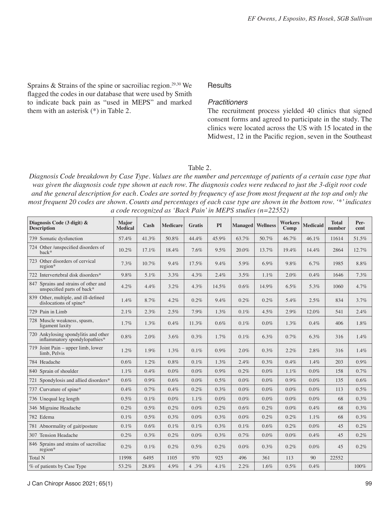Sprains  $\&$  Strains of the spine or sacroiliac region.<sup>29,30</sup> We flagged the codes in our database that were used by Smith to indicate back pain as "used in MEPS" and marked them with an asterisk (\*) in Table 2.

#### **Results**

#### *Practitioners*

The recruitment process yielded 40 clinics that signed consent forms and agreed to participate in the study. The clinics were located across the US with 15 located in the Midwest, 12 in the Pacific region, seven in the Southeast

Table 2.

*Diagnosis Code breakdown by Case Type. Values are the number and percentage of patients of a certain case type that was given the diagnosis code type shown at each row. The diagnosis codes were reduced to just the 3-digit root code and the general description for each. Codes are sorted by frequency of use from most frequent at the top and only the most frequent 20 codes are shown. Counts and percentages of each case type are shown in the bottom row. '\*' indicates a code recognized as 'Back Pain' in MEPS studies (n=22552)*

| Diagnosis Code (3 digit) &<br><b>Description</b>                      | Major<br><b>Medical</b> | Cash    | <b>Medicare</b> | <b>Gratis</b> | PI      | <b>Managed</b> | Wellness | <b>Workers</b><br>Comp | <b>Medicaid</b> | <b>Total</b><br>number | Per-<br>cent |
|-----------------------------------------------------------------------|-------------------------|---------|-----------------|---------------|---------|----------------|----------|------------------------|-----------------|------------------------|--------------|
| 739 Somatic dysfunction                                               | 57.4%                   | 41.3%   | 50.8%           | 44.4%         | 45.9%   | 63.7%          | 50.7%    | 46.7%                  | 46.1%           | 11614                  | 51.5%        |
| 724 Other /unspecified disorders of<br>back*                          | 10.2%                   | 17.1%   | 18.4%           | 7.6%          | 9.5%    | 20.0%          | 13.7%    | 19.4%                  | 14.4%           | 2864                   | 12.7%        |
| 723 Other disorders of cervical<br>$region*$                          | 7.3%                    | 10.7%   | 9.4%            | 17.5%         | 9.4%    | 5.9%           | 6.9%     | 9.8%                   | 6.7%            | 1985                   | 8.8%         |
| 722 Intervertebral disk disorders*                                    | 9.8%                    | 5.1%    | 3.3%            | 4.3%          | 2.4%    | 3.5%           | 1.1%     | 2.0%                   | 0.4%            | 1646                   | 7.3%         |
| 847 Sprains and strains of other and<br>unspecified parts of back*    | 4.2%                    | 4.4%    | 3.2%            | 4.3%          | 14.5%   | 0.6%           | 14.9%    | 6.5%                   | 5.3%            | 1060                   | 4.7%         |
| 839 Other, multiple, and ill-defined<br>dislocations of spine*        | 1.4%                    | 8.7%    | 4.2%            | 0.2%          | 9.4%    | 0.2%           | 0.2%     | 5.4%                   | 2.5%            | 834                    | 3.7%         |
| 729 Pain in Limb                                                      | 2.1%                    | 2.3%    | 2.5%            | 7.9%          | 1.3%    | 0.1%           | 4.5%     | 2.9%                   | 12.0%           | 541                    | 2.4%         |
| 728 Muscle weakness, spasm,<br>ligament laxity                        | 1.7%                    | 1.3%    | 0.4%            | 11.3%         | 0.6%    | 0.1%           | 0.0%     | 1.3%                   | 0.4%            | 406                    | 1.8%         |
| 720 Ankylosing spondylitis and other<br>inflammatory spondylopathies* | 0.8%                    | 2.0%    | 3.6%            | 0.3%          | 1.7%    | 0.1%           | 6.3%     | 0.7%                   | 6.3%            | 316                    | 1.4%         |
| 719 Joint Pain – upper limb, lower<br>limb. Pelvis                    | 1.2%                    | 1.9%    | $1.3\%$         | 0.1%          | 0.9%    | 2.0%           | 0.3%     | 2.2%                   | 2.8%            | 316                    | 1.4%         |
| 784 Headache                                                          | 0.6%                    | 1.2%    | 0.8%            | 0.1%          | 1.3%    | 2.4%           | 0.3%     | 0.4%                   | 1.4%            | 203                    | 0.9%         |
| 840 Sprain of shoulder                                                | 1.1%                    | 0.4%    | 0.0%            | 0.0%          | $0.9\%$ | 0.2%           | $0.0\%$  | 1.1%                   | $0.0\%$         | 158                    | $0.7\%$      |
| 721 Spondylosis and allied disorders*                                 | 0.6%                    | $0.9\%$ | 0.6%            | 0.0%          | 0.5%    | 0.0%           | $0.0\%$  | $0.9\%$                | 0.0%            | 135                    | 0.6%         |
| 737 Curvature of spine*                                               | 0.4%                    | 0.7%    | 0.4%            | 0.2%          | 0.3%    | $0.0\%$        | $0.0\%$  | $0.0\%$                | $0.0\%$         | 113                    | 0.5%         |
| 736 Unequal leg length                                                | 0.5%                    | 0.1%    | 0.0%            | 1.1%          | $0.0\%$ | $0.0\%$        | $0.0\%$  | $0.0\%$                | $0.0\%$         | 68                     | 0.3%         |
| 346 Migraine Headache                                                 | 0.2%                    | 0.5%    | 0.2%            | $0.0\%$       | 0.2%    | 0.6%           | 0.2%     | $0.0\%$                | 0.4%            | 68                     | 0.3%         |
| 782 Edema                                                             | 0.1%                    | 0.5%    | 0.3%            | 0.0%          | 0.3%    | $0.0\%$        | 0.2%     | 0.2%                   | 1.1%            | 68                     | 0.3%         |
| 781 Abnormality of gait/posture                                       | 0.1%                    | 0.6%    | 0.1%            | 0.1%          | 0.3%    | 0.1%           | 0.6%     | 0.2%                   | $0.0\%$         | 45                     | 0.2%         |
| 307 Tension Headache                                                  | 0.2%                    | 0.3%    | 0.2%            | $0.0\%$       | 0.3%    | 0.7%           | $0.0\%$  | $0.0\%$                | 0.4%            | 45                     | 0.2%         |
| 846 Sprains and strains of sacroiliac<br>$region*$                    | 0.2%                    | 0.1%    | 0.2%            | 0.5%          | 0.2%    | $0.0\%$        | 0.3%     | 0.2%                   | $0.0\%$         | 45                     | 0.2%         |
| <b>Total N</b>                                                        | 11998                   | 6495    | 1105            | 970           | 925     | 496            | 361      | 113                    | 90              | 22552                  |              |
| % of patients by Case Type                                            | 53.2%                   | 28.8%   | 4.9%            | 4.3%          | 4.1%    | 2.2%           | 1.6%     | 0.5%                   | 0.4%            |                        | 100%         |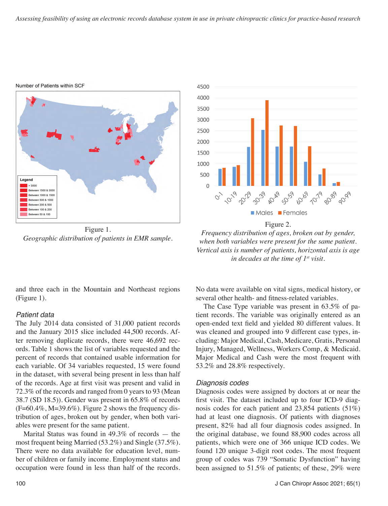4500



Number of Patients within SCF

4000 3500 3000 2500 2000 1500 1000 500  $\overline{O}$ **Males Females** 

Figure 1. *Geographic distribution of patients in EMR sample.*

Figure 2.

*Frequency distribution of ages, broken out by gender, when both variables were present for the same patient. Vertical axis is number of patients, horizontal axis is age in decades at the time of 1st visit.*

and three each in the Mountain and Northeast regions (Figure 1).

#### *Patient data*

The July 2014 data consisted of 31,000 patient records and the January 2015 slice included 44,500 records. After removing duplicate records, there were 46,692 records. Table 1 shows the list of variables requested and the percent of records that contained usable information for each variable. Of 34 variables requested, 15 were found in the dataset, with several being present in less than half of the records. Age at first visit was present and valid in 72.3% of the records and ranged from 0 years to 93 (Mean 38.7 (SD 18.5)). Gender was present in 65.8% of records  $(F=60.4\%, M=39.6\%)$ . Figure 2 shows the frequency distribution of ages, broken out by gender, when both variables were present for the same patient.

Marital Status was found in 49.3% of records — the most frequent being Married (53.2%) and Single (37.5%). There were no data available for education level, number of children or family income. Employment status and occupation were found in less than half of the records. No data were available on vital signs, medical history, or several other health- and fitness-related variables.

The Case Type variable was present in 63.5% of patient records. The variable was originally entered as an open-ended text field and yielded 80 different values. It was cleaned and grouped into 9 different case types, including: Major Medical, Cash, Medicare, Gratis, Personal Injury, Managed, Wellness, Workers Comp, & Medicaid. Major Medical and Cash were the most frequent with 53.2% and 28.8% respectively.

#### *Diagnosis codes*

Diagnosis codes were assigned by doctors at or near the first visit. The dataset included up to four ICD-9 diagnosis codes for each patient and 23,854 patients (51%) had at least one diagnosis. Of patients with diagnoses present, 82% had all four diagnosis codes assigned. In the original database, we found 88,900 codes across all patients, which were one of 366 unique ICD codes. We found 120 unique 3-digit root codes. The most frequent group of codes was 739 "Somatic Dysfunction" having been assigned to 51.5% of patients; of these, 29% were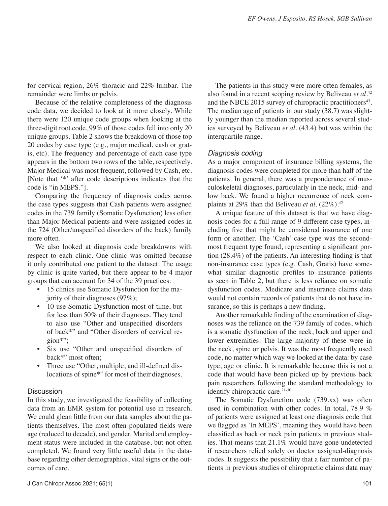for cervical region, 26% thoracic and 22% lumbar. The remainder were limbs or pelvis.

Because of the relative completeness of the diagnosis code data, we decided to look at it more closely. While there were 120 unique code groups when looking at the three-digit root code, 99% of those codes fell into only 20 unique groups. Table 2 shows the breakdown of those top 20 codes by case type (e.g., major medical, cash or gratis, etc). The frequency and percentage of each case type appears in the bottom two rows of the table, respectively. Major Medical was most frequent, followed by Cash, etc. [Note that '\*' after code descriptions indicates that the code is "in MEPS."].

Comparing the frequency of diagnosis codes across the case types suggests that Cash patients were assigned codes in the 739 family (Somatic Dysfunction) less often than Major Medical patients and were assigned codes in the 724 (Other/unspecified disorders of the back) family more often.

We also looked at diagnosis code breakdowns with respect to each clinic. One clinic was omitted because it only contributed one patient to the dataset. The usage by clinic is quite varied, but there appear to be 4 major groups that can account for 34 of the 39 practices:

- 15 clinics use Somatic Dysfunction for the majority of their diagnoses (97%);
- 10 use Somatic Dysfunction most of time, but for less than 50% of their diagnoses. They tend to also use "Other and unspecified disorders of back\*" and "Other disorders of cervical region\*";
- Six use "Other and unspecified disorders of back\*" most often;
- Three use "Other, multiple, and ill-defined dislocations of spine\*" for most of their diagnoses.

#### **Discussion**

In this study, we investigated the feasibility of collecting data from an EMR system for potential use in research. We could glean little from our data samples about the patients themselves. The most often populated fields were age (reduced to decade), and gender. Marital and employment status were included in the database, but not often completed. We found very little useful data in the database regarding other demographics, vital signs or the outcomes of care.

The patients in this study were more often females, as also found in a recent scoping review by Beliveau *et al*. 42 and the NBCE 2015 survey of chiropractic practitioners<sup>43</sup>. The median age of patients in our study (38.7) was slightly younger than the median reported across several studies surveyed by Beliveau *et al.* (43.4) but was within the interquartile range.

## *Diagnosis coding*

As a major component of insurance billing systems, the diagnosis codes were completed for more than half of the patients. In general, there was a preponderance of musculoskeletal diagnoses, particularly in the neck, mid- and low back. We found a higher occurrence of neck complaints at 29% than did Beliveau et al. (22%).<sup>42</sup>

A unique feature of this dataset is that we have diagnosis codes for a full range of 9 different case types, including five that might be considered insurance of one form or another. The 'Cash' case type was the secondmost frequent type found, representing a significant portion (28.4%) of the patients. An interesting finding is that non-insurance case types (e.g. Cash, Gratis) have somewhat similar diagnostic profiles to insurance patients as seen in Table 2, but there is less reliance on somatic dysfunction codes. Medicare and insurance claims data would not contain records of patients that do not have insurance, so this is perhaps a new finding.

Another remarkable finding of the examination of diagnoses was the reliance on the 739 family of codes, which is a somatic dysfunction of the neck, back and upper and lower extremities. The large majority of these were in the neck, spine or pelvis. It was the most frequently used code, no matter which way we looked at the data: by case type, age or clinic. It is remarkable because this is not a code that would have been picked up by previous back pain researchers following the standard methodology to identify chiropractic care.<sup>21-30</sup>

The Somatic Dysfunction code (739.xx) was often used in combination with other codes. In total, 78.9 % of patients were assigned at least one diagnosis code that we flagged as 'In MEPS', meaning they would have been classified as back or neck pain patients in previous studies. That means that 21.1% would have gone undetected if researchers relied solely on doctor assigned-diagnosis codes. It suggests the possibility that a fair number of patients in previous studies of chiropractic claims data may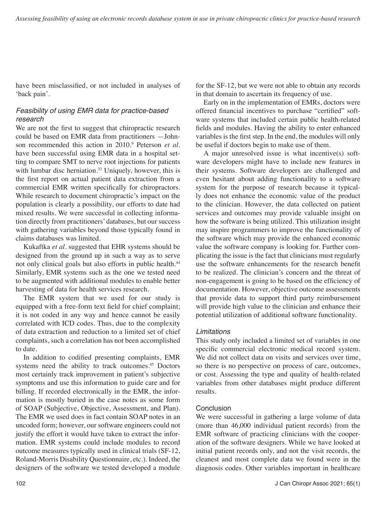have been misclassified, or not included in analyses of 'back pain'.

## *Feasibility of using EMR data for practice-based research*

We are not the first to suggest that chiropractic research could be based on EMR data from practitioners —Johnson recommended this action in 2010.<sup>9</sup> Peterson *et al*. have been successful using EMR data in a hospital setting to compare SMT to nerve root injections for patients with lumbar disc herniation.<sup>33</sup> Uniquely, however, this is the first report on actual patient data extraction from a commercial EMR written specifically for chiropractors. While research to document chiropractic's impact on the population is clearly a possibility, our efforts to date had mixed results. We were successful in collecting information directly from practitioners' databases, but our success with gathering variables beyond those typically found in claims databases was limited.

Kukaftka *et al*. suggested that EHR systems should be designed from the ground up in such a way as to serve not only clinical goals but also efforts in public health.<sup>44</sup> Similarly, EMR systems such as the one we tested need to be augmented with additional modules to enable better harvesting of data for health services research.

The EMR system that we used for our study is equipped with a free-form text field for chief complaint; it is not coded in any way and hence cannot be easily correlated with ICD codes. Thus, due to the complexity of data extraction and reduction to a limited set of chief complaints, such a correlation has not been accomplished to date.

In addition to codified presenting complaints, EMR systems need the ability to track outcomes.<sup>45</sup> Doctors most certainly track improvement in patient's subjective symptoms and use this information to guide care and for billing. If recorded electronically in the EMR, the information is mostly buried in the case notes as some form of SOAP (Subjective, Objective, Assessment, and Plan). The EMR we used does in fact contain SOAP notes in an uncoded form; however, our software engineers could not justify the effort it would have taken to extract the information. EMR systems could include modules to record outcome measures typically used in clinical trials (SF-12, Roland-Morris Disability Questionnaire, etc.). Indeed, the designers of the software we tested developed a module for the SF-12, but we were not able to obtain any records in that domain to ascertain its frequency of use.

Early on in the implementation of EMRs, doctors were offered financial incentives to purchase "certified" software systems that included certain public health-related fields and modules. Having the ability to enter enhanced variables is the first step. In the end, the modules will only be useful if doctors begin to make use of them.

A major unresolved issue is what incentive(s) software developers might have to include new features in their systems. Software developers are challenged and even hesitant about adding functionality to a software system for the purpose of research because it typically does not enhance the economic value of the product to the clinician. However, the data collected on patient services and outcomes may provide valuable insight on how the software is being utilized. This utilization insight may inspire programmers to improve the functionality of the software which may provide the enhanced economic value the software company is looking for. Further complicating the issue is the fact that clinicians must regularly use the software enhancements for the research benefit to be realized. The clinician's concern and the threat of non-engagement is going to be based on the efficiency of documentation. However, objective outcome assessments that provide data to support third party reimbursement will provide high value to the clinician and enhance their potential utilization of additional software functionality.

## *Limitations*

This study only included a limited set of variables in one specific commercial electronic medical record system. We did not collect data on visits and services over time, so there is no perspective on process of care, outcomes, or cost. Assessing the type and quality of health-related variables from other databases might produce different results.

## **Conclusion**

We were successful in gathering a large volume of data (more than 46,000 individual patient records) from the EMR software of practicing clinicians with the cooperation of the software designers. While we have looked at initial patient records only, and not the visit records, the cleanest and most complete data we found were in the diagnosis codes. Other variables important in healthcare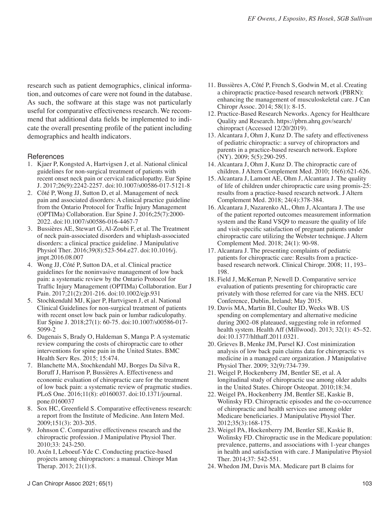research such as patient demographics, clinical information, and outcomes of care were not found in the database. As such, the software at this stage was not particularly useful for comparative effectiveness research. We recommend that additional data fields be implemented to indicate the overall presenting profile of the patient including demographics and health indicators.

#### **References**

- 1. Kjaer P, Kongsted A, Hartvigsen J, et al. National clinical guidelines for non-surgical treatment of patients with recent onset neck pain or cervical radiculopathy. Eur Spine J. 2017;26(9):2242-2257. doi:10.1007/s00586-017-5121-8
- 2. Côté P, Wong JJ, Sutton D, et al. Management of neck pain and associated disorders: A clinical practice guideline from the Ontario Protocol for Traffic Injury Management (OPTIMa) Collaboration. Eur Spine J. 2016;25(7):2000- 2022. doi:10.1007/s00586-016-4467-7
- 3. Bussières AE, Stewart G, Al-Zoubi F, et al. The Treatment of neck pain-associated disorders and whiplash-associated disorders: a clinical practice guideline. J Manipulative Physiol Ther. 2016;39(8):523-564.e27. doi:10.1016/j. jmpt.2016.08.007
- 4. Wong JJ, Côté P, Sutton DA, et al. Clinical practice guidelines for the noninvasive management of low back pain: a systematic review by the Ontario Protocol for Traffic Injury Management (OPTIMa) Collaboration. Eur J Pain. 2017;21(2):201-216. doi:10.1002/ejp.931
- 5. Stochkendahl MJ, Kjaer P, Hartvigsen J, et al. National Clinical Guidelines for non-surgical treatment of patients with recent onset low back pain or lumbar radiculopathy. Eur Spine J. 2018;27(1): 60-75. doi:10.1007/s00586-017- 5099-2
- 6. Dagenais S, Brady O, Haldeman S, Manga P. A systematic review comparing the costs of chiropractic care to other interventions for spine pain in the United States. BMC Health Serv Res. 2015; 15:474.
- 7. Blanchette MA, Stochkendahl MJ, Borges Da Silva R, Boruff J, Harrison P, Bussières A. Effectiveness and economic evaluation of chiropractic care for the treatment of low back pain: a systematic review of pragmatic studies. PLoS One. 2016;11(8): e0160037. doi:10.1371/journal. pone.0160037
- 8. Sox HC, Greenfield S. Comparative effectiveness research: a report from the Institute of Medicine. Ann Intern Med. 2009;151(3): 203-205.
- 9. Johnson C. Comparative effectiveness research and the chiropractic profession. J Manipulative Physiol Ther. 2010;33: 243-250.
- 10. Axén I, Leboeuf-Yde C. Conducting practice-based projects among chiropractors: a manual. Chiropr Man Therap. 2013; 21(1):8.
- 11. Bussières A, Côté P, French S, Godwin M, et al. Creating a chiropractic practice-based research network (PBRN): enhancing the management of musculoskeletal care. J Can Chiropr Assoc. 2014; 58(1): 8-15.
- 12. Practice-Based Research Neworks. Agency for Healthcare Quality and Research. https://pbrn.ahrq.gov/search/ chiropract (Accessed 12/20/2019).
- 13. Alcantara J, Ohm J, Kunz D. The safety and effectiveness of pediatric chiropractic: a survey of chiropractors and parents in a practice-based research network. Explore (NY). 2009; 5(5):290-295.
- 14. Alcantara J, Ohm J, Kunz D. The chiropractic care of children. J Altern Complement Med. 2010; 16(6):621-626.
- 15. Alcantara J, Lamont AE, Ohm J, Alcantara J. The quality of life of children under chiropractic care using promis-25: results from a practice-based research network. J Altern Complement Med. 2018; 24(4):378-384.
- 16. Alcantara J, Nazarenko AL, Ohm J, Alcantara J. The use of the patient reported outcomes measurement information system and the Rand VSQ9 to measure the quality of life and visit-specific satisfaction of pregnant patients under chiropractic care utilizing the Webster technique. J Altern Complement Med. 2018; 24(1): 90-98.
- 17. Alcantara J. The presenting complaints of pediatric patients for chiropractic care: Results from a practicebased research network. Clinical Chiropr. 2008; 11, 193– 198.
- 18. Field J, McKernan P, Newell D. Comparative service evaluation of patients presenting for chiropractic care privately with those referred for care via the NHS. ECU Conference, Dublin, Ireland; May 2015.
- 19. Davis MA, Martin BI, Coulter ID, Weeks WB. US spending on complementary and alternative medicine during 2002–08 plateaued, suggesting role in reformed health system. Health Aff (Millwood). 2013; 32(1): 45–52. doi:10.1377/hlthaff.2011.0321.
- 20. Grieves B, Menke JM, Pursel KJ. Cost minimization analysis of low back pain claims data for chiropractic vs medicine in a managed care organization. J Manipulative Physiol Ther. 2009; 32(9):734-739.
- 21. Weigel P, Hockenberry JM, Bentler SE, et al. A longitudinal study of chiropractic use among older adults in the United States. Chiropr Osteopat. 2010;18:34.
- 22. Weigel PA, Hockenberry JM, Bentler SE, Kaskie B, Wolinsky FD. Chiropractic episodes and the co-occurrence of chiropractic and health services use among older Medicare beneficiaries. J Manipulative Physiol Ther. 2012;35(3):168-175.
- 23. Weigel PA, Hockenberry JM, Bentler SE, Kaskie B, Wolinsky FD. Chiropractic use in the Medicare population: prevalence, patterns, and associations with 1-year changes in health and satisfaction with care. J Manipulative Physiol Ther. 2014;37: 542-551.
- 24. Whedon JM, Davis MA. Medicare part B claims for